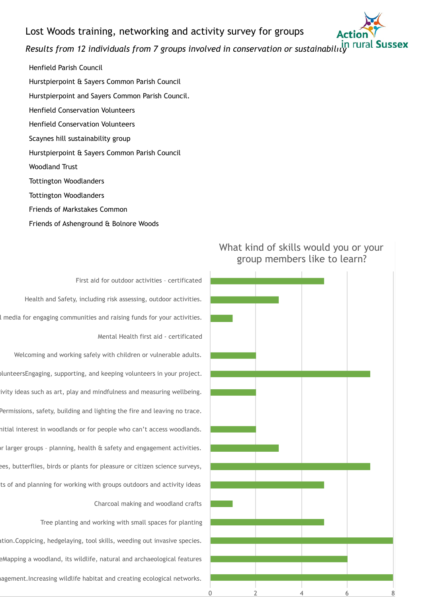# Lost Woods training, networking and activity survey for groups



# *Results from 12 individuals from 7 groups involved in conservation or sustainability*

Henfield Parish Council Hurstpierpoint & Sayers Common Parish Council Hurstpierpoint and Sayers Common Parish Council. Henfield Conservation Volunteers Henfield Conservation Volunteers Scaynes hill sustainability group Hurstpierpoint & Sayers Common Parish Council Woodland Trust Tottington Woodlanders Tottington Woodlanders Friends of Markstakes Common Friends of Ashenground & Bolnore Woods

First aid for outdoor activities – certificated Health and Safety, including risk assessing, outdoor activities. I media for engaging communities and raising funds for your activities. Mental Health first aid - certificated

Welcoming and working safely with children or vulnerable adults. olunteersEngaging, supporting, and keeping volunteers in your project. ivity ideas such as art, play and mindfulness and measuring wellbeing. Permissions, safety, building and lighting the fire and leaving no trace. hitial interest in woodlands or for people who can't access woodlands. In larger groups - planning, health & safety and engagement activities. ees, butterflies, birds or plants for pleasure or citizen science surveys, ts of and planning for working with groups outdoors and activity ideas Charcoal making and woodland crafts

Tree planting and working with small spaces for planting ation.Coppicing, hedgelaying, tool skills, weeding out invasive species. eMapping a woodland, its wildlife, natural and archaeological features agement.Increasing wildlife habitat and creating ecological networks.



# What kind of skills would you or your group members like to learn?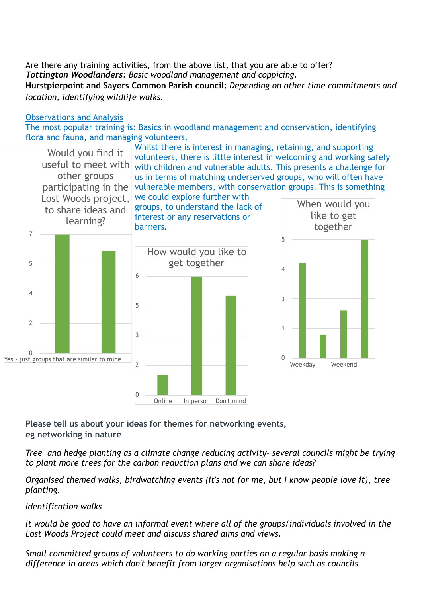Are there any training activities, from the above list, that you are able to offer? *Tottington Woodlanders: Basic woodland management and coppicing*. **Hurstpierpoint and Sayers Common Parish council:** *Depending on other time commitments and location, identifying wildlife walks.*

#### Observations and Analysis

The most popular training is: Basics in woodland management and conservation, identifying flora and fauna, and managing volunteers.



**Please tell us about your ideas for themes for networking events, eg networking in nature** 

*Tree and hedge planting as a climate change reducing activity- several councils might be trying to plant more trees for the carbon reduction plans and we can share ideas?* 

*Organised themed walks, birdwatching events (it's not for me, but I know people love it), tree planting.* 

## *Identification walks*

*It would be good to have an informal event where all of the groups/individuals involved in the Lost Woods Project could meet and discuss shared aims and views.* 

*Small committed groups of volunteers to do working parties on a regular basis making a difference in areas which don't benefit from larger organisations help such as councils*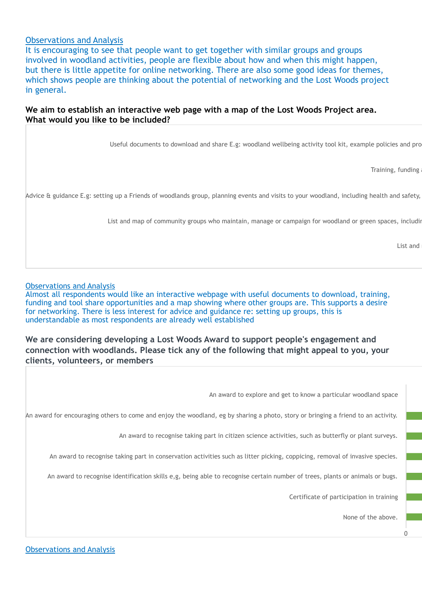#### Observations and Analysis

It is encouraging to see that people want to get together with similar groups and groups involved in woodland activities, people are flexible about how and when this might happen, but there is little appetite for online networking. There are also some good ideas for themes, which shows people are thinking about the potential of networking and the Lost Woods project in general.

## **We aim to establish an interactive web page with a map of the Lost Woods Project area. What would you like to be included?**

Useful documents to download and share E.g: woodland wellbeing activity tool kit, example policies and pro

Training, funding

Advice & guidance E.g: setting up a Friends of woodlands group, planning events and visits to your woodland, including health and safety,

List and map of community groups who maintain, manage or campaign for woodland or green spaces, including

List and

#### Observations and Analysis

Almost all respondents would like an interactive webpage with useful documents to download, training, funding and tool share opportunities and a map showing where other groups are. This supports a desire for networking. There is less interest for advice and guidance re: setting up groups, this is understandable as most respondents are already well established

**We are considering developing a Lost Woods Award to support people's engagement and connection with woodlands. Please tick any of the following that might appeal to you, your clients, volunteers, or members** 

An award to explore and get to know a particular woodland space

An award for encouraging others to come and enjoy the woodland, eg by sharing a photo, story or bringing a friend to an activity.

An award to recognise taking part in citizen science activities, such as butterfly or plant surveys.

An award to recognise taking part in conservation activities such as litter picking, coppicing, removal of invasive species.

An award to recognise identification skills e,g, being able to recognise certain number of trees, plants or animals or bugs.

Certificate of participation in training

None of the above.